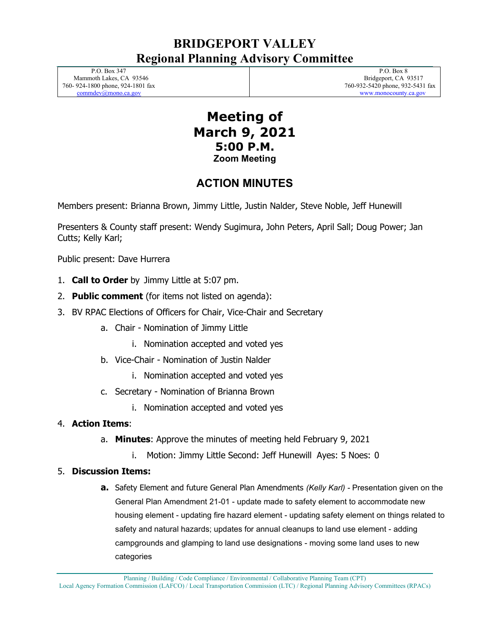## **BRIDGEPORT VALLEY Regional Planning Advisory Committee**

 P.O. Box 347 Mammoth Lakes, CA 93546 760- 924-1800 phone, 924-1801 fax [commdev@mono.ca.gov](mailto:commdev@mono.ca.gov)

 P.O. Box 8 Bridgeport, CA 93517 760-932-5420 phone, 932-5431 fax www.monocounty.ca.gov

### **Meeting of March 9, 2021 5:00 P.M. Zoom Meeting**

# **ACTION MINUTES**

Members present: Brianna Brown, Jimmy Little, Justin Nalder, Steve Noble, Jeff Hunewill

Presenters & County staff present: Wendy Sugimura, John Peters, April Sall; Doug Power; Jan Cutts; Kelly Karl;

Public present: Dave Hurrera

- 1. **Call to Order** by Jimmy Little at 5:07 pm.
- 2. **Public comment** (for items not listed on agenda):
- 3. BV RPAC Elections of Officers for Chair, Vice-Chair and Secretary
	- a. Chair Nomination of Jimmy Little
		- i. Nomination accepted and voted yes
	- b. Vice-Chair Nomination of Justin Nalder
		- i. Nomination accepted and voted yes
	- c. Secretary Nomination of Brianna Brown
		- i. Nomination accepted and voted yes

#### 4. **Action Items**:

- a. **Minutes**: Approve the minutes of meeting held February 9, 2021
	- i. Motion: Jimmy Little Second: Jeff Hunewill Ayes: 5 Noes: 0

#### 5. **Discussion Items:**

**a.** Safety Element and future General Plan Amendments *(Kelly Karl) -* Presentation given on the General Plan Amendment 21-01 - update made to safety element to accommodate new housing element - updating fire hazard element - updating safety element on things related to safety and natural hazards; updates for annual cleanups to land use element - adding campgrounds and glamping to land use designations - moving some land uses to new categories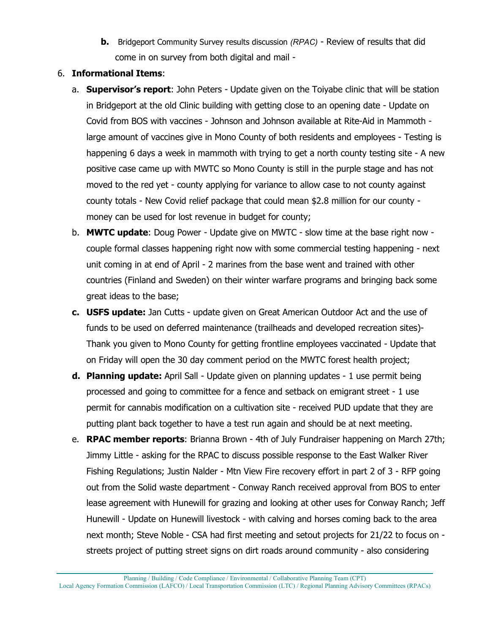**b.** Bridgeport Community Survey results discussion *(RPAC)* - Review of results that did come in on survey from both digital and mail -

#### 6. **Informational Items**:

- a. **Supervisor's report**: John Peters Update given on the Toiyabe clinic that will be station in Bridgeport at the old Clinic building with getting close to an opening date - Update on Covid from BOS with vaccines - Johnson and Johnson available at Rite-Aid in Mammoth large amount of vaccines give in Mono County of both residents and employees - Testing is happening 6 days a week in mammoth with trying to get a north county testing site - A new positive case came up with MWTC so Mono County is still in the purple stage and has not moved to the red yet - county applying for variance to allow case to not county against county totals - New Covid relief package that could mean \$2.8 million for our county money can be used for lost revenue in budget for county;
- b. **MWTC update**: Doug Power Update give on MWTC slow time at the base right now couple formal classes happening right now with some commercial testing happening - next unit coming in at end of April - 2 marines from the base went and trained with other countries (Finland and Sweden) on their winter warfare programs and bringing back some great ideas to the base;
- **c. USFS update:** Jan Cutts update given on Great American Outdoor Act and the use of funds to be used on deferred maintenance (trailheads and developed recreation sites)- Thank you given to Mono County for getting frontline employees vaccinated - Update that on Friday will open the 30 day comment period on the MWTC forest health project;
- **d. Planning update:** April Sall Update given on planning updates 1 use permit being processed and going to committee for a fence and setback on emigrant street - 1 use permit for cannabis modification on a cultivation site - received PUD update that they are putting plant back together to have a test run again and should be at next meeting.
- e. **RPAC member reports**: Brianna Brown 4th of July Fundraiser happening on March 27th; Jimmy Little - asking for the RPAC to discuss possible response to the East Walker River Fishing Regulations; Justin Nalder - Mtn View Fire recovery effort in part 2 of 3 - RFP going out from the Solid waste department - Conway Ranch received approval from BOS to enter lease agreement with Hunewill for grazing and looking at other uses for Conway Ranch; Jeff Hunewill - Update on Hunewill livestock - with calving and horses coming back to the area next month; Steve Noble - CSA had first meeting and setout projects for 21/22 to focus on streets project of putting street signs on dirt roads around community - also considering